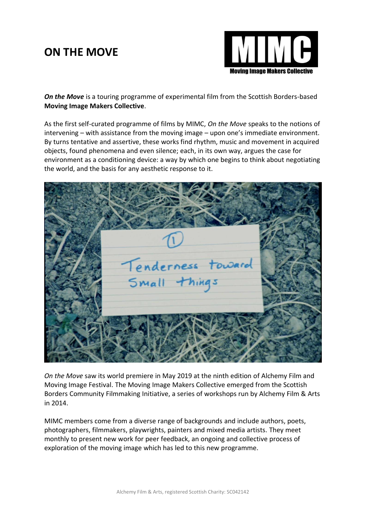## **ON THE MOVE**



**On the Move** is a touring programme of experimental film from the Scottish Borders-based **Moving Image Makers Collective**.

As the first self-curated programme of films by MIMC, *On the Move* speaks to the notions of intervening – with assistance from the moving image – upon one's immediate environment. By turns tentative and assertive, these works find rhythm, music and movement in acquired objects, found phenomena and even silence; each, in its own way, argues the case for environment as a conditioning device: a way by which one begins to think about negotiating the world, and the basis for any aesthetic response to it.



*On the Move* saw its world premiere in May 2019 at the ninth edition of Alchemy Film and Moving Image Festival. The Moving Image Makers Collective emerged from the Scottish Borders Community Filmmaking Initiative, a series of workshops run by Alchemy Film & Arts in 2014.

MIMC members come from a diverse range of backgrounds and include authors, poets, photographers, filmmakers, playwrights, painters and mixed media artists. They meet monthly to present new work for peer feedback, an ongoing and collective process of exploration of the moving image which has led to this new programme.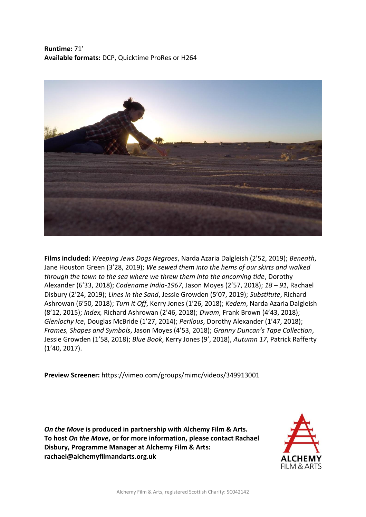**Runtime:** 71' **Available formats:** DCP, Quicktime ProRes or H264



**Films included:** *Weeping Jews Dogs Negroes*, Narda Azaria Dalgleish (2'52, 2019); *Beneath*, Jane Houston Green (3'28, 2019); *We sewed them into the hems of our skirts and walked through the town to the sea where we threw them into the oncoming tide*, Dorothy Alexander (6'33, 2018); *Codename India-1967*, Jason Moyes (2'57, 2018); *18 – 91*, Rachael Disbury (2'24, 2019); *Lines in the Sand*, Jessie Growden (5'07, 2019); *Substitute*, Richard Ashrowan (6'50, 2018); *Turn it Off*, Kerry Jones (1'26, 2018); *Kedem*, Narda Azaria Dalgleish (8'12, 2015); *Index,* Richard Ashrowan (2'46, 2018); *Dwam*, Frank Brown (4'43, 2018); *Glenlochy Ice*, Douglas McBride (1'27, 2014); *Perilous*, Dorothy Alexander (1'47, 2018); *Frames, Shapes and Symbols*, Jason Moyes (4'53, 2018); *Granny Duncan's Tape Collection*, Jessie Growden (1'58, 2018); *Blue Book*, Kerry Jones (9', 2018), *Autumn 17*, Patrick Rafferty (1'40, 2017).

**Preview Screener:** https://vimeo.com/groups/mimc/videos/349913001

*On the Move* **is produced in partnership with Alchemy Film & Arts. To host** *On the Move***, or for more information, please contact Rachael Disbury, Programme Manager at Alchemy Film & Arts: rachael@alchemyfilmandarts.org.uk**

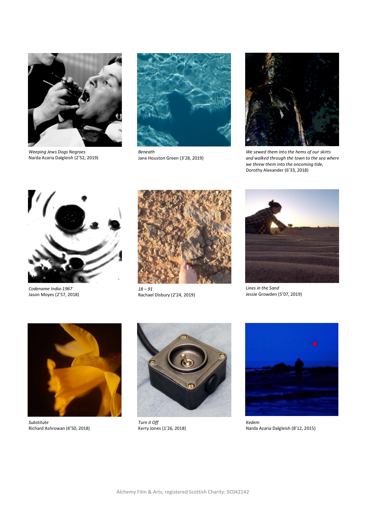

*Weeping Jews Dogs Negroes* Narda Azaria Dalgleish (2'52, 2019)



*Beneath* Jane Houston Green (3'28, 2019)



*We sewed them into the hems of our skirts and walked through the town to the sea where we threw them into the oncoming tide*, Dorothy Alexander (6'33, 2018)



*Codename India-1967* Jason Moyes (2'57, 2018)



*18 – 91* Rachael Disbury (2'24, 2019)



*Lines in the Sand* Jessie Growden (5'07, 2019)



*Substitute* Richard Ashrowan (6'50, 2018)



*Turn it Off* Kerry Jones (1'26, 2018)



*Kedem* Narda Azaria Dalgleish (8'12, 2015)